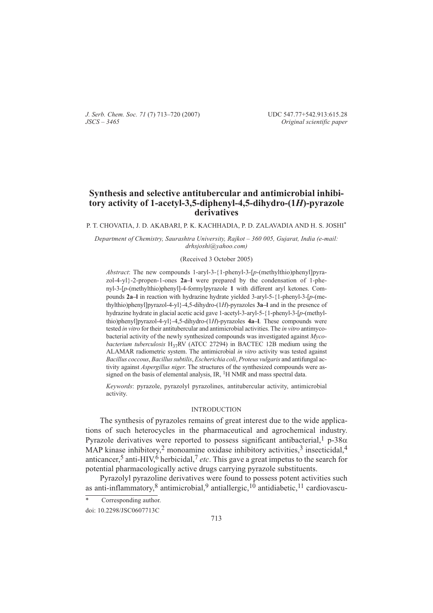*J. Serb. Chem. Soc. 71* (7) 713–720 (2007) UDC 547.77+542.913:615.28 *JSCS – 3465 Original scientific paper*

# **Synthesis and selective antitubercular and antimicrobial inhibitory activity of 1-acetyl-3,5-diphenyl-4,5-dihydro-(1***H***)-pyrazole derivatives**

P. T. CHOVATIA, J. D. AKABARI, P. K. KACHHADIA, P. D. ZALAVADIA AND H. S. JOSHI\*

*Department of Chemistry, Saurashtra University, Rajkot – 360 005, Gujarat, India (e-mail: drhsjoshi@yahoo.com)*

## (Received 3 October 2005)

*Abstract*: The new compounds 1-aryl-3-{1-phenyl-3-[p-(methylthio)phenyl]pyrazol-4-yl-2-propen-1-ones **2a–l** were prepared by the condensation of 1-phenyl-3-[p-(methylthio)phenyl]-4-formylpyrazole 1 with different aryl ketones. Compounds 2a–I in reaction with hydrazine hydrate yielded 3-aryl-5-{1-phenyl-3-[p-(methylthio)phenylpyrazol-4-yl}-4,5-dihydro-(1*H*)-pyrazoles **3a–l** and in the presence of hydrazine hydrate in glacial acetic acid gave 1-acetyl-3-aryl-5-{1-phenyl-3-[p-(methylthio)phenylpyrazol-4-yl}-4,5-dihydro-(*H*)-pyrazoles **4a–l**. These compounds were tested *in vitro* for their antitubercular and antimicrobial activities. The *in vitro* antimycobacterial activity of the newly synthesized compounds was investigated against *Mycobacterium tuberculosis*  $H_{37}RV$  (ATCC 27294) in BACTEC 12B medium using the ALAMAR radiometric system. The antimicrobial *in vitro* activity was tested against *Bacillus coccous*, *Bacillus subtilis*, *Escherichia coli*, *Proteus vulgaris* and antifungal activity against *Aspergillus niger*. The structures of the synthesized compounds were assigned on the basis of elemental analysis, IR, <sup>1</sup>H NMR and mass spectral data.

*Keywords*: pyrazole, pyrazolyl pyrazolines, antitubercular activity, antimicrobial activity.

## INTRODUCTION

The synthesis of pyrazoles remains of great interest due to the wide applications of such heterocycles in the pharmaceutical and agrochemical industry. Pyrazole derivatives were reported to possess significant antibacterial,<sup>1</sup> p-38 $\alpha$ MAP kinase inhibitory,<sup>2</sup> monoamine oxidase inhibitory activities,<sup>3</sup> insecticidal,<sup>4</sup> anticancer,<sup>5</sup> anti-HIV,<sup>6</sup> herbicidal,<sup>7</sup> *etc*. This gave a great impetus to the search for potential pharmacologically active drugs carrying pyrazole substituents.

Pyrazolyl pyrazoline derivatives were found to possess potent activities such as anti-inflammatory,<sup>8</sup> antimicrobial,<sup>9</sup> antiallergic,<sup>10</sup> antidiabetic,<sup>11</sup> cardiovascu-

Corresponding author.

doi: 10.2298/JSC0607713C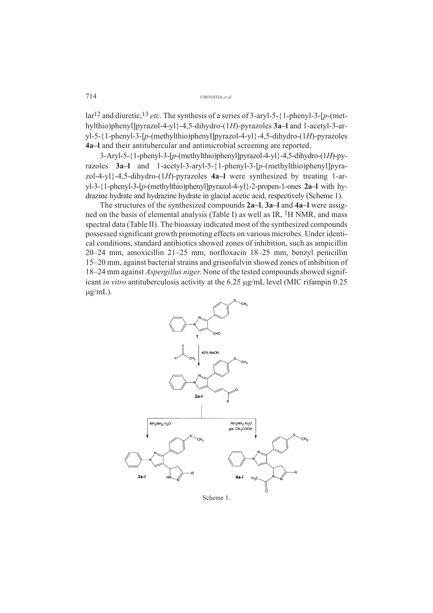714 CHOVATIA *et al.*

lar<sup>12</sup> and diuretic, <sup>13</sup> *etc*. The synthesis of a series of 3-aryl-5-{1-phenyl-3-[p-(methylthio)phenylpyrazol-4-yl-4,5-dihydro-(1*H*)-pyrazoles **3a–l** and 1-acetyl-3-aryl-5-{1-phenyl-3-[p-(methylthio)phenyl]pyrazol-4-yl}-4,5-dihydro-(1*H*)-pyrazoles **4a–l** and their antitubercular and antimicrobial screening are reported.

3-Aryl-5-1-phenyl-3--*p*-(methylthio)phenylpyrazol-4-yl-4,5-dihydro-(1*H*)-pyrazoles **3a–l** and 1-acetyl-3-aryl-5-1-phenyl-3--*p*-(methylthio)phenylpyrazol-4-yl-4,5-dihydro-(1*H*)-pyrazoles **4a–l** were synthesized by treating 1-aryl-3-1-phenyl-3--*p*-(methylthio)phenylpyrazol-4-yl-2-propen-1-ones **2a–l** with hydrazine hydrate and hydrazine hydrate in glacial acetic acid, respectively (Scheme 1).

The structures of the synthesized compounds **2a–l**, **3a–l** and **4a–l** were assigned on the basis of elemental analysis (Table I) as well as IR,  ${}^{1}$ H NMR, and mass spectral data (Table II). The bioassay indicated most of the synthesized compounds possessed significant growth promoting effects on various microbes. Under identical conditions, standard antibiotics showed zones of inhibition, such as ampicillin 20–24 mm, amoxicillin 21–25 mm, norfloxacin 18–25 mm, benzyl penicillin 15–20 mm, against bacterial strains and griseofulvin showed zones of inhibition of 18–24 mm against *Aspergillus niger*. None of the tested compounds showed significant *in vitro* antituberculosis activity at the 6.25 µg/mL level (MIC rifampin 0.25  $\mu$ g/mL).



Scheme 1.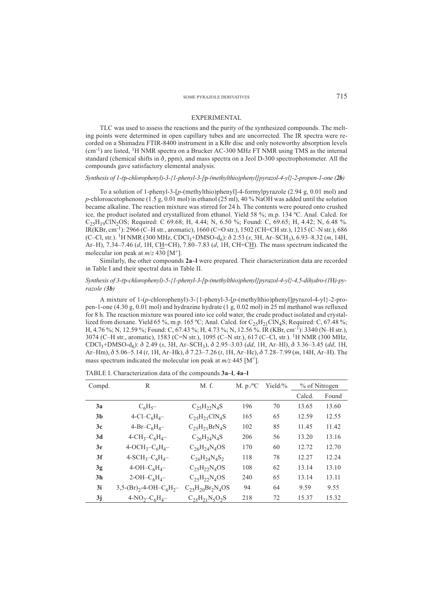#### EXPERIMENTAL

TLC was used to assess the reactions and the purity of the synthesized compounds. The melting points were determined in open capillary tubes and are uncorrected. The IR spectra were recorded on a Shimadzu FTIR-8400 instrument in a KBr disc and only noteworthy absorption levels (cm-1) are listed, 1H NMR spectra on a Brucker AC-300 MHz FT NMR using TMS as the internal standard (chemical shifts in  $\delta$ , ppm), and mass spectra on a Jeol D-300 spectrophotometer. All the compounds gave satisfactory elemental analysis.

### *Synthesis of 1-(*p*-chlorophenyl)-3-{1-phenyl-3-[*p*-(methylthio)phenyl]pyrazol-4-yl}-2-propen-1-one (2b)*

To a solution of 1-phenyl-3-[p-(methylthio)phenyl]-4-formylpyrazole (2.94 g, 0.01 mol) and *p*-chloroacetophenone (1.5 g, 0.01 mol) in ethanol (25 ml), 40 % NaOH was added until the solution became alkaline. The reaction mixture was stirred for 24 h. The contents were poured onto crushed ice, the product isolated and crystallized from ethanol. Yield 58 %; m.p. 134 ºC. Anal. Calcd. for  $C_{25}H_{19}CIN_2OS$ ; Required: C 69.68; H, 4.44; N, 6.50 %; Found: C, 69.65; H, 4.42; N, 6.48 %. IR(KBr, cm-1): 2966 (C–H str., aromatic), 1660 (C=O str.), 1502 (CH=CH str.), 1215 (C–N str.), 686 (C–Cl, str.). 1H NMR (300 MHz, CDCl3+DMSO-d6): 2.53 (*s*, 3H, Ar–SCH3), 6.93–8.32 (*m*, 14H, Ar–H), 7.34–7.46 (*d*, 1H, CH=CH), 7.80–7.83 (*d*, 1H, CH=CH). The mass spectrum indicated the molecular ion peak at  $m/z$  430 [M<sup>+</sup>].

Similarly, the other compounds **2a–l** were prepared. Their characterization data are recorded in Table I and their spectral data in Table II.

### *Synthesis of 3-(*p*-chlorophenyl)-5-{1-phenyl-3-[*p*-(methylthio)phenyl]pyrazol-4-yl}-4,5-dihydro-(1*H*)-pyrazole (3b)*

A mixture of 1-(*p*-chlorophenyl)-3-{1-phenyl-3-[*p*-(methylthio)phenyl]pyrazol-4-yl}-2-propen-1-one (4.30 g, 0.01 mol) and hydrazine hydrate (1 g, 0.02 mol) in 25 ml methanol was refluxed for 8 h. The reaction mixture was poured into ice cold water, the crude product isolated and crystallized from dioxane. Yield 65 %, m.p. 165 °C; Anal. Calcd. for  $C_{25}H_{21}C_1N_4S$ ; Required: C, 67.48 %; H, 4.76 %; N, 12.59 %; Found: C, 67.43 %; H, 4.73 %; N, 12.56 %. IR (KBr, cm-1): 3340 (N–H str.), 3074 (C–H str., aromatic), 1583 (C=N str.), 1095 (C–N str.), 617 (C–Cl, str.). 1H NMR (300 MHz, CDCl3+DMSO-d6): 2.49 (*s*, 3H, Ar–SCH3), 2.95–3.03 (*dd*, 1H, Ar–Hl), 3.36–3.45 (*dd*, 1H, Ar–Hm), 5.06–5.14 (*t*, 1H, Ar–Hk), 7.23–7.26 (*t*, 1H, Ar–Hc), 7.28–7.99 (*m*, 14H, Ar–H). The mass spectrum indicated the molecular ion peak at  $m/z$  445 [M<sup>+</sup>].

| Compd.         | R                                                    | M. f.                                                | M. $p.^{\circ}C$ | Yield/ $\%$ |        | % of Nitrogen |  |
|----------------|------------------------------------------------------|------------------------------------------------------|------------------|-------------|--------|---------------|--|
|                |                                                      |                                                      |                  |             | Calcd. | Found         |  |
| 3a             | $C_6H_{5}$                                           | $C_2$ <sub>5</sub> $H_2$ <sub>2</sub> $N_4$ S        | 196              | 70          | 13.65  | 13.60         |  |
| 3b             | 4-Cl-C <sub>6</sub> H <sub>4</sub> -                 | $C_{25}H_{21}CIN_4S$                                 | 165              | 65          | 12.59  | 12.55         |  |
| 3c             | $4-Br-C6H4$                                          | $C_2$ <sub>5</sub> $H_2$ <sub>1</sub> $BrN4S$        | 102              | 85          | 11.45  | 11.42         |  |
| 3d             | $4 - CH_3 - C_6H_4 -$                                | $C_{26}H_{24}N_4S$                                   | 206              | 56          | 13.20  | 13.16         |  |
| 3e             | $4-OCH3-C6H4$ -                                      | $C_{26}H_{24}N_{4}OS$                                | 170              | 60          | 12.72  | 12.70         |  |
| 3f             | $4-SCH_3-C_6H_4-$                                    | $C_{26}H_{24}N_4S_2$                                 | 118              | 78          | 12.27  | 12.24         |  |
| 3g             | $4-OH-C6H4$                                          | $C_2$ <sub>5</sub> H <sub>22</sub> N <sub>4</sub> OS | 108              | 62          | 13.14  | 13.10         |  |
| 3 <sub>h</sub> | $2-OH-C6H4$ -                                        | $C_{25}H_{22}N_{4}OS$                                | 240              | 65          | 13.14  | 13.11         |  |
| 3i             | $3,5-(Br)_{2}$ -4-OH-C <sub>6</sub> H <sub>2</sub> - | $C_{25}H_{20}Br_2N_4OS$                              | 94               | 64          | 9.59   | 9.55          |  |
| 3i             | $4-NO_2-C_6H_4-$                                     | $C_{25}H_{21}N_{5}O_{2}S$                            | 218              | 72          | 15.37  | 15.32         |  |

TABLE I. Characterization data of the compounds **3a–l**, **4a–l**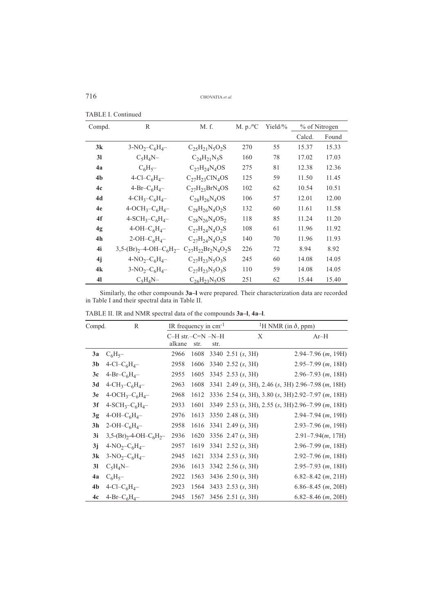716 CHOVATIA *et al.*

| Compd.         | R                                    | M. f.                     | M. $p.^{\circ}C$ | Yield/ $\%$ |        | % of Nitrogen |
|----------------|--------------------------------------|---------------------------|------------------|-------------|--------|---------------|
|                |                                      |                           |                  |             | Calcd. | Found         |
| 3k             | $3-NO_2-C_6H_4-$                     | $C_{25}H_{21}N_{5}O_{2}S$ | 270              | 55          | 15.37  | 15.33         |
| 31             | $C_5H_4N-$                           | $C_{24}H_{21}N_5S$        | 160              | 78          | 17.02  | 17.03         |
| 4a             | $C_6H_5$ -                           | $C_{27}H_{24}N_4OS$       | 275              | 81          | 12.38  | 12.36         |
| 4 <sub>b</sub> | 4-Cl–C <sub>6</sub> H <sub>4</sub> – | $C_{27}H_{23}CIN_4OS$     | 125              | 59          | 11.50  | 11.45         |
| 4c             | 4-Br- $C_6H_4$ -                     | $C_{27}H_{23}BrN_4OS$     | 102              | 62          | 10.54  | 10.51         |
| 4d             | $4 - CH_3 - C_6H_4 -$                | $C_{28}H_{26}N_{4}OS$     | 106              | 57          | 12.01  | 12.00         |
| 4e             | $4-OCH_3-C_6H_4-$                    | $C_{28}H_{26}N_4O_2S$     | 132              | 60          | 11.61  | 11.58         |
| 4f             | $4-SCH_3-C_6H_4-$                    | $C_{28}N_{26}N_4OS_2$     | 118              | 85          | 11.24  | 11.20         |
| 4g             | $4-OH-C6H4$                          | $C_{27}H_{24}N_{4}O_{2}S$ | 108              | 61          | 11.96  | 11.92         |
| 4 <sub>h</sub> | 2-OH- $C_6H_4-$                      | $C_{27}H_{24}N_4O_2S$     | 140              | 70          | 11.96  | 11.93         |
| 4i             | $3,5-(Br)_{2}-4-OH-C_{6}H_{2}-$      | $C_{27}H_{22}Br_2N_4O_2S$ | 226              | 72          | 8.94   | 8.92          |
| 4j             | $4-NO_2-C_6H_4-$                     | $C_{27}H_{23}N_5O_3S$     | 245              | 60          | 14.08  | 14.05         |
| 4k             | $3-NO_2-C_6H_4-$                     | $C_{27}H_{23}N_5O_3S$     | 110              | 59          | 14.08  | 14.05         |
| 41             | $C_5H_4N-$                           | $C_{26}H_{23}N_5OS$       | 251              | 62          | 15.44  | 15.40         |

TABLE I. Continued

Similarly, the other compounds **3a–l** were prepared. Their characterization data are recorded in Table I and their spectral data in Table II.

| Compd. | R                                                    | IR frequency in $cm^{-1}$       |      |      |                          | <sup>1</sup> H NMR (in $\delta$ , ppm)             |
|--------|------------------------------------------------------|---------------------------------|------|------|--------------------------|----------------------------------------------------|
|        |                                                      | $C-H$ str. $-C=N-N-H$<br>alkane | str. | str. | X                        | $Ar-H$                                             |
| 3a     | $C_6H_5$ -                                           | 2966                            | 1608 |      | 3340 2.51 (s, 3H)        | $2.94 - 7.96$ ( <i>m</i> , 19H)                    |
| 3b     | 4-Cl–C <sub>6</sub> H <sub>4</sub> –                 | 2958                            | 1606 |      | 3340 2.52 (s, 3H)        | $2.95 - 7.99$ ( <i>m</i> , 18H)                    |
| 3c     | 4-Br- $C_6H_4$ -                                     | 2955                            | 1605 |      | 3345 2.53 $(s, 3H)$      | $2.96 - 7.93$ ( <i>m</i> , 18H)                    |
| 3d     | $4 - CH_3 - C_6H_4 -$                                | 2963                            | 1608 |      |                          | 3341 2.49 (s, 3H), 2.46 (s, 3H) 2.96–7.98 (m, 18H) |
| 3e     | $4-OCH3-C6H4$                                        | 2968                            | 1612 |      |                          | 3336 2.54 (s, 3H), 3.80 (s, 3H) 2.92–7.97 (m, 18H) |
| 3f     | $4-SCH_3-C_6H_4-$                                    | 2933                            | 1601 |      |                          | 3349 2.53 (s, 3H), 2.55 (s, 3H) 2.96–7.99 (m, 18H) |
| 3g     | $4-OH-C6H4$                                          | 2976                            | 1613 |      | 3350 2.48 $(s, 3H)$      | $2.94 - 7.94$ ( <i>m</i> , 19H)                    |
| 3h     | $2-OH-C6H4$                                          | 2958                            |      |      | 1616 3341 2.49 $(s, 3H)$ | $2.93 - 7.96$ (m, 19H)                             |
| 3i     | $3,5-(Br)_{2}$ -4-OH-C <sub>6</sub> H <sub>2</sub> - | 2936                            | 1620 |      | 3356 2.47 $(s, 3H)$      | $2.91 - 7.94(m, 17H)$                              |
| 3i     | $4-NO_2-C_6H_4-$                                     | 2957                            | 1619 |      | $3341$ 2.52 (s, 3H)      | $2.96 - 7.99$ ( <i>m</i> , 18H)                    |
| 3k     | $3-NO_2-C_6H_4-$                                     | 2945                            | 1621 |      | 3334 2.53 $(s, 3H)$      | $2.92 - 7.96$ (m, 18H)                             |
| 31     | $C_5H_4N-$                                           | 2936                            | 1613 |      | 3342 2.56 (s, 3H)        | $2.95 - 7.93$ ( <i>m</i> , 18H)                    |
| 4a     | $C_6H_5$ -                                           | 2922                            |      |      | 1563 3436 2.50 $(s, 3H)$ | $6.82 - 8.42$ ( <i>m</i> , 21H)                    |
| 4b     | 4-Cl- $C_6H_4$ -                                     | 2923                            |      |      | 1564 3433 2.53 $(s, 3H)$ | $6.86 - 8.45$ (m, 20H)                             |
| 4c     | 4-Br- $C_6H_4$ -                                     | 2945                            |      |      | 1567 3456 2.51 (s, 3H)   | $6.82 - 8.46$ ( <i>m</i> , 20H)                    |

TABLE II. IR and NMR spectral data of the compounds **3a–l**, **4a–l**.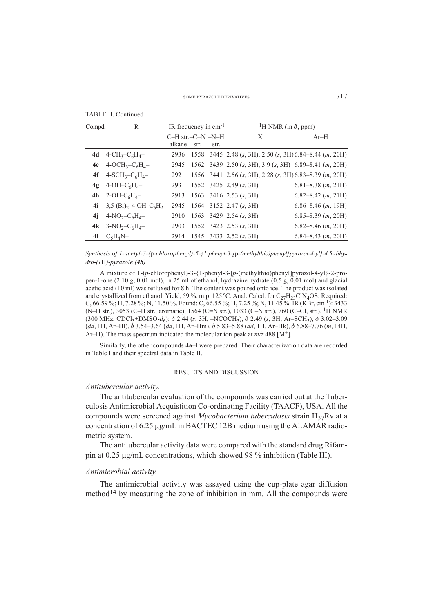| <b>TABLE II. Continued</b> |  |
|----------------------------|--|
|----------------------------|--|

| Compd.         | R                                                    | IR frequency in $cm^{-1}$       |      |      | <sup>1</sup> H NMR (in $\delta$ , ppm)                       |                                 |
|----------------|------------------------------------------------------|---------------------------------|------|------|--------------------------------------------------------------|---------------------------------|
|                |                                                      | $C-H$ str. $-C=N-N-H$<br>alkane | str. | str. | X                                                            | $Ar-H$                          |
| 4d             | $4 - CH_3 - C_6H_4 -$                                |                                 |      |      | 2936 1558 3445 2.48 (s, 3H), 2.50 (s, 3H) 6.84–8.44 (m, 20H) |                                 |
| 4e             | $4-OCH_3-C_6H_4-$                                    |                                 |      |      | 2945 1562 3439 2.50 (s, 3H), 3.9 (s, 3H) 6.89–8.41 (m, 20H)  |                                 |
| 4f             | $4-SCH_3-C_6H_4-$                                    | 2921                            |      |      | 1556 3441 2.56 (s, 3H), 2.28 (s, 3H) 6.83–8.39 (m, 20H)      |                                 |
| 4 <sub>g</sub> | $4-OH-C6H4$                                          | 2931                            |      |      | 1552 3425 2.49 $(s, 3H)$                                     | $6.81 - 8.38$ ( <i>m</i> , 21H) |
| 4h             | $2-OH-C6H4$ -                                        |                                 |      |      | 2913 1563 3416 2.53 (s, 3H)                                  | $6.82 - 8.42$ ( <i>m</i> , 21H) |
| 4i             | $3,5-(Br)_{2}$ -4-OH-C <sub>6</sub> H <sub>2</sub> - | 2945                            |      |      | $1564$ 3152 2.47 $(s, 3H)$                                   | $6.86 - 8.46$ ( <i>m</i> , 19H) |
| 4i             | 4-NO <sub>2</sub> -C <sub>6</sub> H <sub>4</sub> -   | 2910                            |      |      | 1563 3429 2.54 $(s, 3H)$                                     | $6.85 - 8.39$ ( <i>m</i> , 20H) |
| 4k             | $3-NO_2-C_6H_4-$                                     | 2903                            |      |      | 1552 3423 2.53 $(s, 3H)$                                     | $6.82 - 8.46$ ( <i>m</i> , 20H) |
| 41             | $C_5H_4N-$                                           |                                 |      |      | 2914 1545 3433 2.52 (s, 3H)                                  | $6.84 - 8.43$ ( <i>m</i> , 20H) |

*Synthesis of 1-acetyl-3-(*p*-chlorophenyl)-5-{1-phenyl-3-[*p*-(methylthio)phenyl]pyrazol-4-yl}-4,5-dihydro-(1*H*)-pyrazole (4b)*

A mixture of 1-(*p*-chlorophenyl)-3-{1-phenyl-3-[*p*-(methylthio)phenyl]pyrazol-4-yl}-2-propen-1-one (2.10 g, 0.01 mol), in 25 ml of ethanol, hydrazine hydrate (0.5 g, 0.01 mol) and glacial acetic acid (10 ml) was refluxed for 8 h. The content was poured onto ice. The product was isolated and crystallized from ethanol. Yield, 59 %. m.p. 125 °C. Anal. Calcd. for  $C_{27}H_{23}CIN_4OS$ ; Required: C, 66.59 %; H, 7.28 %; N, 11.50 %. Found: C, 66.55 %; H, 7.25 %; N, 11.45 %. IR (KBr, cm-1): 3433 (N–H str.), 3053 (C–H str., aromatic), 1564 (C=N str.), 1033 (C–N str.), 760 (C–Cl, str.). 1H NMR (300 MHz, CDCl3+DMSO-*d*6): 2.44 (*s*, 3H, –NCOCH3), 2.49 (*s*, 3H, Ar–SCH3), 3.02–3.09 (*dd*, 1H, Ar–Hl), 3.54–3.64 (*dd*, 1H, Ar–Hm), 5.83–5.88 (*dd*, 1H, Ar–Hk), 6.88–7.76 (*m*, 14H, Ar–H). The mass spectrum indicated the molecular ion peak at  $m/z$  488 [M<sup>+</sup>].

Similarly, the other compounds **4a–l** were prepared. Their characterization data are recorded in Table I and their spectral data in Table II.

#### RESULTS AND DISCUSSION

## *Antitubercular activity.*

The antitubercular evaluation of the compounds was carried out at the Tuberculosis Antimicrobial Acquistition Co-ordinating Facility (TAACF), USA. All the compounds were screened against *Mycobacterium tuberculosis* strain H<sub>37</sub>Rv at a concentration of  $6.25 \mu g/mL$  in BACTEC 12B medium using the ALAMAR radiometric system.

The antitubercular activity data were compared with the standard drug Rifampin at  $0.25 \mu g/mL$  concentrations, which showed 98 % inhibition (Table III).

#### *Antimicrobial activity.*

The antimicrobial activity was assayed using the cup-plate agar diffusion method<sup>14</sup> by measuring the zone of inhibition in mm. All the compounds were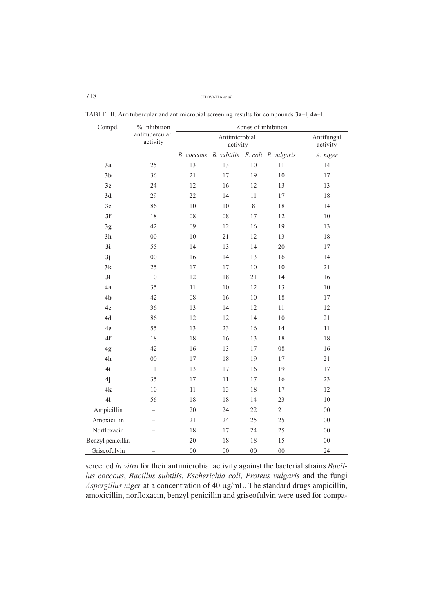## 718 CHOVATIA *et al.*

| Compd.            | % Inhibition               | Zones of inhibition |                        |        |                     |            |  |  |  |
|-------------------|----------------------------|---------------------|------------------------|--------|---------------------|------------|--|--|--|
|                   | antitubercular<br>activity |                     | Antifungal<br>activity |        |                     |            |  |  |  |
|                   |                            | B. coccous          | <b>B.</b> subtilis     |        | E. coli P. vulgaris | A. niger   |  |  |  |
| 3a                | 25                         | 13                  | 13                     | $10\,$ | 11                  | 14         |  |  |  |
| 3 <sub>b</sub>    | 36                         | 21                  | 17                     | 19     | 10                  | 17         |  |  |  |
| 3c                | 24                         | 12                  | 16                     | 12     | 13                  | 13         |  |  |  |
| 3d                | 29                         | 22                  | 14                     | $11\,$ | 17                  | $18\,$     |  |  |  |
| 3e                | 86                         | 10                  | 10                     | 8      | 18                  | 14         |  |  |  |
| 3f                | 18                         | 08                  | 08                     | 17     | 12                  | 10         |  |  |  |
| 3g                | 42                         | 09                  | 12                     | 16     | 19                  | 13         |  |  |  |
| 3h                | $00\,$                     | 10                  | $21\,$                 | 12     | 13                  | 18         |  |  |  |
| 3i                | 55                         | 14                  | 13                     | 14     | 20                  | 17         |  |  |  |
| 3j                | ${\bf 00}$                 | 16                  | 14                     | 13     | 16                  | 14         |  |  |  |
| 3k                | 25                         | 17                  | 17                     | $10\,$ | 10                  | 21         |  |  |  |
| 31                | 10                         | 12                  | 18                     | 21     | 14                  | 16         |  |  |  |
| 4a                | 35                         | 11                  | 10                     | 12     | 13                  | 10         |  |  |  |
| 4 <sub>b</sub>    | 42                         | ${\bf 08}$          | 16                     | $10\,$ | $18\,$              | $17\,$     |  |  |  |
| 4c                | 36                         | 13                  | 14                     | 12     | 11                  | 12         |  |  |  |
| 4d                | 86                         | 12                  | 12                     | 14     | 10                  | 21         |  |  |  |
| 4e                | 55                         | 13                  | 23                     | 16     | 14                  | $11\,$     |  |  |  |
| 4f                | 18                         | 18                  | 16                     | 13     | 18                  | 18         |  |  |  |
| 4g                | 42                         | 16                  | 13                     | 17     | ${\bf 08}$          | 16         |  |  |  |
| 4h                | $00\,$                     | 17                  | 18                     | 19     | 17                  | 21         |  |  |  |
| 4i                | $11\,$                     | 13                  | 17                     | 16     | 19                  | 17         |  |  |  |
| 4j                | 35                         | 17                  | 11                     | 17     | 16                  | 23         |  |  |  |
| 4k                | 10                         | $11\,$              | 13                     | 18     | 17                  | 12         |  |  |  |
| 4 <sub>l</sub>    | 56                         | 18                  | 18                     | 14     | 23                  | 10         |  |  |  |
| Ampicillin        |                            | 20                  | 24                     | 22     | 21                  | $00\,$     |  |  |  |
| Amoxicillin       |                            | 21                  | 24                     | 25     | 25                  | $00\,$     |  |  |  |
| Norfloxacin       |                            | $1\,8$              | 17                     | 24     | 25                  | ${\bf 00}$ |  |  |  |
| Benzyl penicillin |                            | 20                  | 18                     | 18     | 15                  | $00\,$     |  |  |  |
| Griseofulvin      |                            | $00\,$              | $00\,$                 | $00\,$ | $00\,$              | 24         |  |  |  |

TABLE III. Antitubercular and antimicrobial screening results for compounds **3a–l**, **4a–l**.

screened *in vitro* for their antimicrobial activity against the bacterial strains *Bacillus coccous*, *Bacillus subtilis*, *Escherichia coli*, *Proteus vulgaris* and the fungi Aspergillus niger at a concentration of 40 µg/mL. The standard drugs ampicillin, amoxicillin, norfloxacin, benzyl penicillin and griseofulvin were used for compa-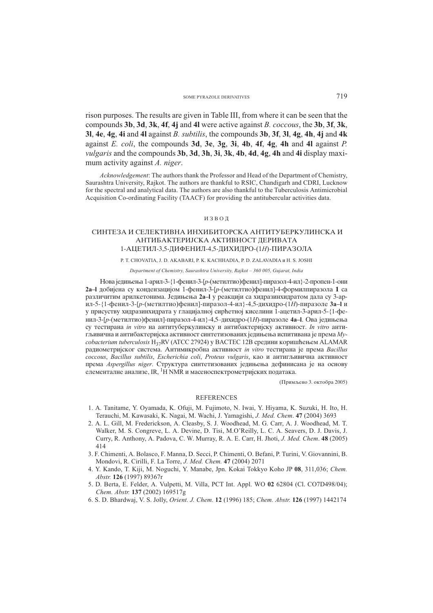#### SOME PYRAZOLE DERIVATIVES 719

rison purposes. The results are given in Table III, from where it can be seen that the compounds **3b**, **3d**, **3k**, **4f**, **4j** and **4l** were active against *B. coccous*, the **3b**, **3f**, **3k**, **3l**, **4e**, **4g**, **4i** and **4l** against *B. subtilis*, the compounds **3b**, **3f**, **3l**, **4g**, **4h**, **4j** and **4k** against *E. coli*, the compounds **3d**, **3e**, **3g**, **3i**, **4b**, **4f**, **4g**, **4h** and **4l** against *P. vulgaris* and the compounds **3b**, **3d**, **3h**, **3i**, **3k**, **4b**, **4d**, **4g**, **4h** and **4i** display maximum activity against *A. niger*.

*Acknowledgement*: The authors thank the Professor and Head of the Department of Chemistry, Saurashtra University, Rajkot. The authors are thankful to RSIC, Chandigarh and CDRI, Lucknow for the spectral and analytical data. The authors are also thankful to the Tuberculosis Antimicrobial Acquisition Co-ordinating Facility (TAACF) for providing the antitubercular activities data.

#### ИЗВОД

## СИНТЕЗА И СЕЛЕКТИВНА ИНХИБИТОРСКА АНТИТУБЕРКУЛИНСКА И АНТИБАКТЕРИЈСКА АКТИВНОСТ ДЕРИВАТА 1-АЦЕТИЛ-3,5-ДИФЕНИЛ-4,5-ДИХИДРО-(1*H*)-ПИРАЗОЛА

#### P. T. CHOVATIA, J. D. AKABARI, P. K. KACHHADIA, P. D. ZALAVADIA  $u$  H. S. JOSHI

#### *Department of Chemistry, Saurashtra University, Rajkot – 360 005, Gujarat, India*

Нова једињења 1-арил-3-{1-фенил-3-[p-(метилтио)фенил]-пиразол-4-ил}-2-пропен-1-они **2a–l** добијена су кондензацијом 1-фенил-3-[*p*-(метилтио)фенил]-4-формилпиразола 1 са различитим арилкетонима. Једињења 2а–l у реакцији са хидразинхидратом дала су 3-арил-5-{1-фенил-3-[*p*-(метилтио)фенил]-пиразол-4-ил}-4,5-дихидро-(1*H*)-пиразоле 3a–l и у присуству хидразинхидрата у глацијалној сирћетној киселини 1-ацетил-3-арил-5-{1-фенил-3-[р-(метилтио)фенил]-пиразол-4-ил}-4,5–дихидро-(1*H*)-пиразоле 4a–l. Ова једињења cy тестирана *in vitro* на антитуберкулинску и антибактеријску активност. *In vitro* антигљивична и антибактеријска активност синтетизованих једињења испитивана је према Му*cobacterium tuberculosis* H<sub>37</sub>RV (АТСС 27924) у ВАСТЕС 12В средини коришћењем ALAMAR radiometrijskog sistema. Antimikrobna aktivnost *in vitro* testirana je prema *Bacillus*  $coccous$ , *Bacillus subtilis*, *Escherichia coli*, *Proteus vulgaris*, као и антигљивична активност prema *Aspergillus niger*. Struktura sintetizovanih jediwewa definisana je na osnovu елементалне анализе, IR, <sup>1</sup>H NMR и масеноспектрометријских података.

(Примљено 3. октобра 2005)

#### **REFERENCES**

- 1. A. Tanitame, Y. Oyamada, K. Ofuji, M. Fujimoto, N. Iwai, Y. Hiyama, K. Suzuki, H. Ito, H. Terauchi, M. Kawasaki, K. Nagai, M. Wachi, J. Yamagishi, *J. Med. Chem*. **47** (2004) 3693
- 2. A. L. Gill, M. Frederickson, A. Cleasby, S. J. Woodhead, M. G. Carr, A. J. Woodhead, M. T. Walker, M. S. Congreve, L. A. Devine, D. Tisi, M.O'Reilly, L. C. A. Seavers, D. J. Davis, J. Curry, R. Anthony, A. Padova, C. W. Murray, R. A. E. Carr, H. Jhoti, *J. Med. Chem*. **48** (2005) 414
- 3. F. Chimenti, A. Bolasco, F. Manna, D. Secci, P. Chimenti, O. Befani, P. Turini, V. Giovannini, B. Mondovi, R. Cirilli, F. La Torre, *J. Med. Chem.* **47** (2004) 2071
- 4. Y. Kando, T. Kiji, M. Noguchi, Y. Manabe, Jpn. Kokai Tokkyo Koho JP **08**, 311,036; *Chem. Abstr.* **126** (1997) 89367r
- 5. D. Berta, E. Felder, A. Vulpetti, M. Villa, PCT Int. Appl. WO **02** 62804 (Cl. CO7D498/04); *Chem. Abstr.* **137** (2002) 169517g
- 6. S. D. Bhardwaj, V. S. Jolly, *Orient. J. Chem.* **12** (1996) 185; *Chem. Abstr.* **126** (1997) 1442174